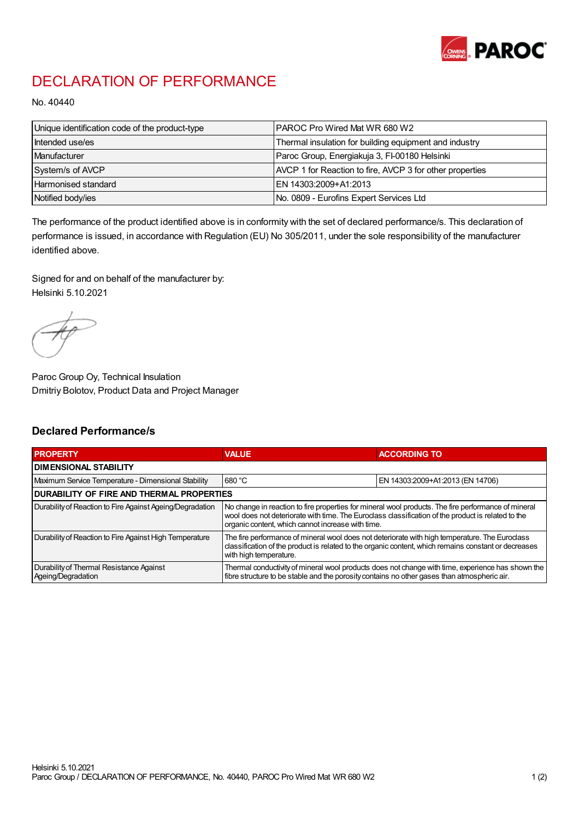

## DECLARATION OF PERFORMANCE

No. 40440

| Unique identification code of the product-type | IPAROC Pro Wired Mat WR 680 W2                           |
|------------------------------------------------|----------------------------------------------------------|
| Intended use/es                                | Thermal insulation for building equipment and industry   |
| Manufacturer                                   | Paroc Group, Energiakuja 3, FI-00180 Helsinki            |
| System/s of AVCP                               | AVCP 1 for Reaction to fire, AVCP 3 for other properties |
| Harmonised standard                            | IEN 14303:2009+A1:2013                                   |
| Notified body/ies                              | No. 0809 - Eurofins Expert Services Ltd                  |

The performance of the product identified above is in conformity with the set of declared performance/s. This declaration of performance is issued, in accordance with Regulation (EU) No 305/2011, under the sole responsibility of the manufacturer identified above.

Signed for and on behalf of the manufacturer by: Helsinki 5.10.2021

Paroc Group Oy, Technical Insulation Dmitriy Bolotov, Product Data and Project Manager

## Declared Performance/s

| <b>PROPERTY</b>                                                | <b>VALUE</b>                                                                                                                                                                                                                                                   | <b>ACCORDING TO.</b>             |  |
|----------------------------------------------------------------|----------------------------------------------------------------------------------------------------------------------------------------------------------------------------------------------------------------------------------------------------------------|----------------------------------|--|
| <b>DIMENSIONAL STABILITY</b>                                   |                                                                                                                                                                                                                                                                |                                  |  |
| Maximum Service Temperature - Dimensional Stability            | 680 °C                                                                                                                                                                                                                                                         | EN 14303:2009+A1:2013 (EN 14706) |  |
| <b>DURABILITY OF FIRE AND THERMAL PROPERTIES</b>               |                                                                                                                                                                                                                                                                |                                  |  |
| Durability of Reaction to Fire Against Ageing/Degradation      | No change in reaction to fire properties for mineral wool products. The fire performance of mineral<br>wool does not deteriorate with time. The Euroclass classification of the product is related to the<br>organic content, which cannot increase with time. |                                  |  |
| Durability of Reaction to Fire Against High Temperature        | The fire performance of mineral wool does not deteriorate with high temperature. The Euroclass<br>classification of the product is related to the organic content, which remains constant or decreases<br>with high temperature.                               |                                  |  |
| Durability of Thermal Resistance Against<br>Ageing/Degradation | Thermal conductivity of mineral wool products does not change with time, experience has shown the<br>fibre structure to be stable and the porosity contains no other gases than atmospheric air.                                                               |                                  |  |